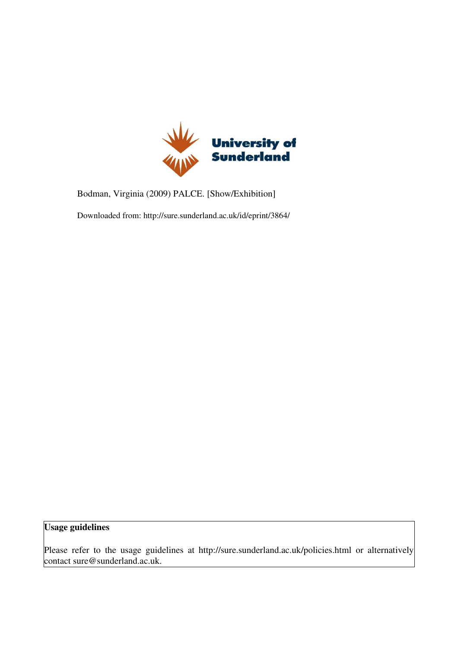

Bodman, Virginia (2009) PALCE. [Show/Exhibition]

Downloaded from: http://sure.sunderland.ac.uk/id/eprint/3864/

## Usage guidelines

Please refer to the usage guidelines at http://sure.sunderland.ac.uk/policies.html or alternatively contact sure@sunderland.ac.uk.